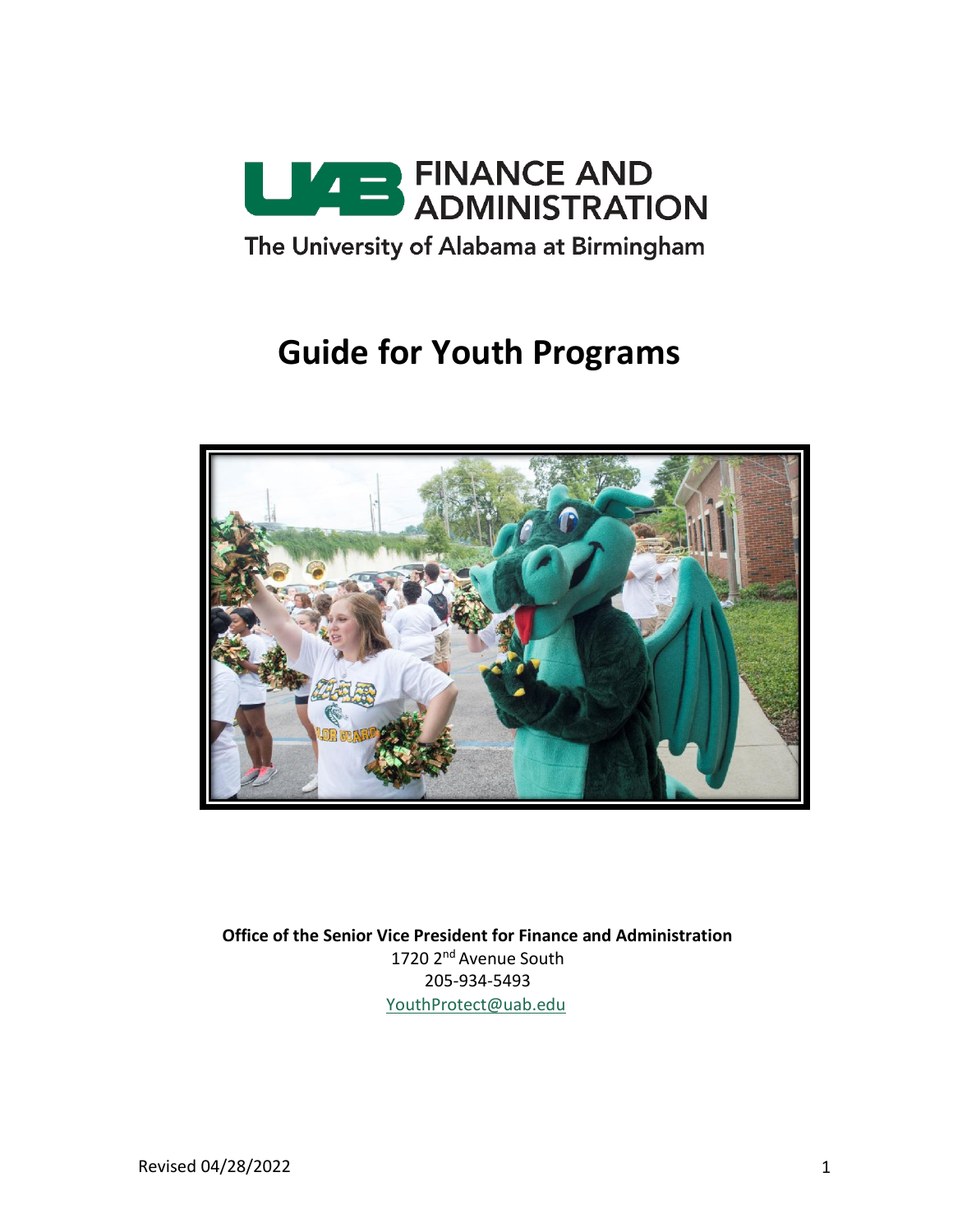

# **Guide for Youth Programs**



**Office of the Senior Vice President for Finance and Administration** 1720 2<sup>nd</sup> Avenue South 205-934-5493 [YouthProtect@uab.edu](mailto:YouthProtect@uab.edu)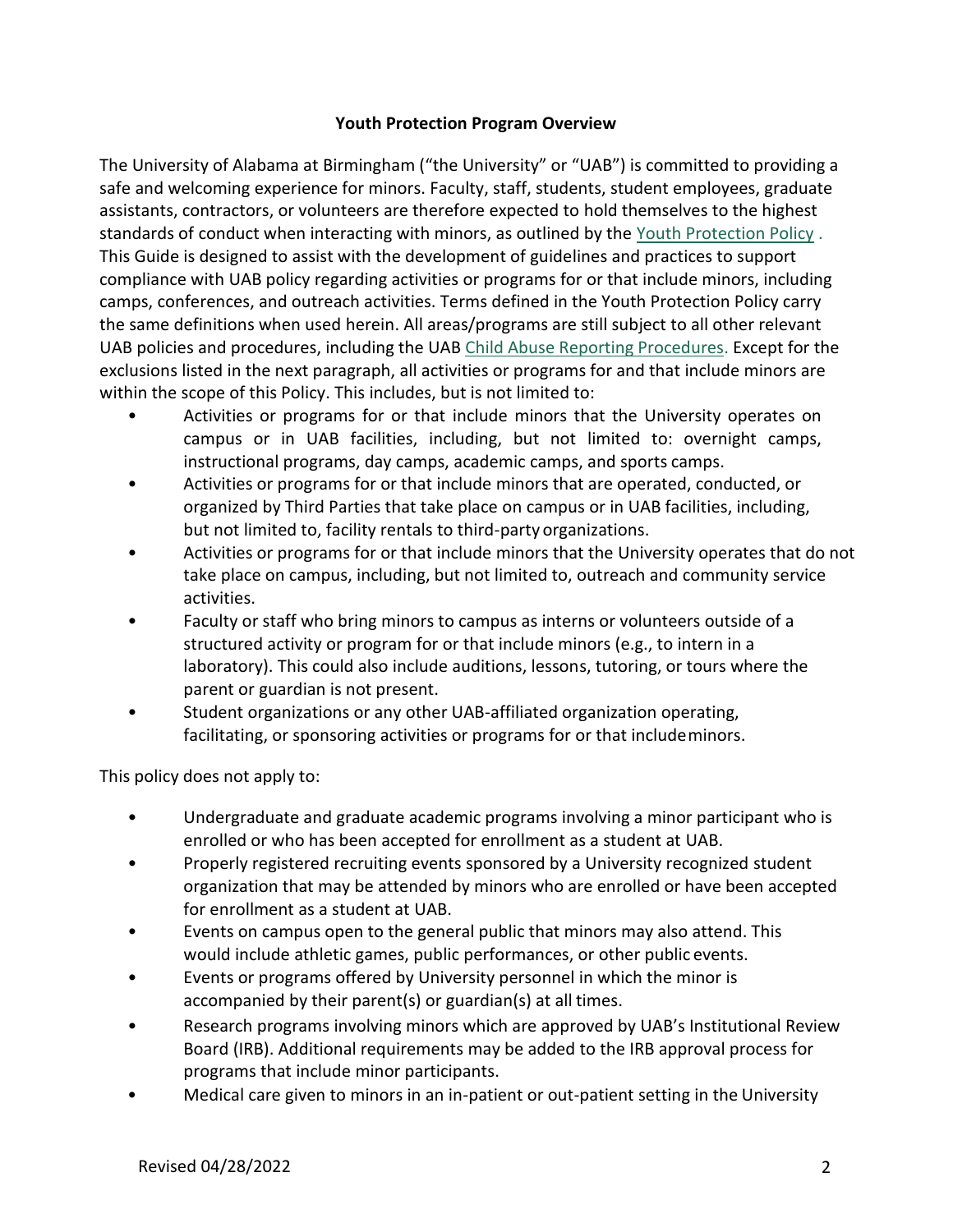#### **Youth Protection Program Overview**

The University of Alabama at Birmingham ("the University" or "UAB") is committed to providing a safe and welcoming experience for minors. Faculty, staff, students, student employees, graduate assistants, contractors, or volunteers are therefore expected to hold themselves to the highest standards of conduct when interacting with minors, as outlined by the [Youth Protection Policy](https://www.uab.edu/youthprotection/our-policy) . This Guide is designed to assist with the development of guidelines and practices to support compliance with UAB policy regarding activities or programs for or that include minors, including camps, conferences, and outreach activities. Terms defined in the Youth Protection Policy carry the same definitions when used herein. All areas/programs are still subject to all other relevant UAB policies and procedures, including the UAB [Child Abuse Reporting Procedures.](https://www.uab.edu/youthprotection/our-policy) Except for the exclusions listed in the next paragraph, all activities or programs for and that include minors are within the scope of this Policy. This includes, but is not limited to:

- Activities or programs for or that include minors that the University operates on campus or in UAB facilities, including, but not limited to: overnight camps, instructional programs, day camps, academic camps, and sports camps.
- Activities or programs for or that include minors that are operated, conducted, or organized by Third Parties that take place on campus or in UAB facilities, including, but not limited to, facility rentals to third-party organizations.
- Activities or programs for or that include minors that the University operates that do not take place on campus, including, but not limited to, outreach and community service activities.
- Faculty or staff who bring minors to campus as interns or volunteers outside of a structured activity or program for or that include minors (e.g., to intern in a laboratory). This could also include auditions, lessons, tutoring, or tours where the parent or guardian is not present.
- Student organizations or any other UAB-affiliated organization operating, facilitating, or sponsoring activities or programs for or that includeminors.

This policy does not apply to:

- Undergraduate and graduate academic programs involving a minor participant who is enrolled or who has been accepted for enrollment as a student at UAB.
- Properly registered recruiting events sponsored by a University recognized student organization that may be attended by minors who are enrolled or have been accepted for enrollment as a student at UAB.
- Events on campus open to the general public that minors may also attend. This would include athletic games, public performances, or other public events.
- Events or programs offered by University personnel in which the minor is accompanied by their parent(s) or guardian(s) at all times.
- Research programs involving minors which are approved by UAB's Institutional Review Board (IRB). Additional requirements may be added to the IRB approval process for programs that include minor participants.
- Medical care given to minors in an in-patient or out-patient setting in the University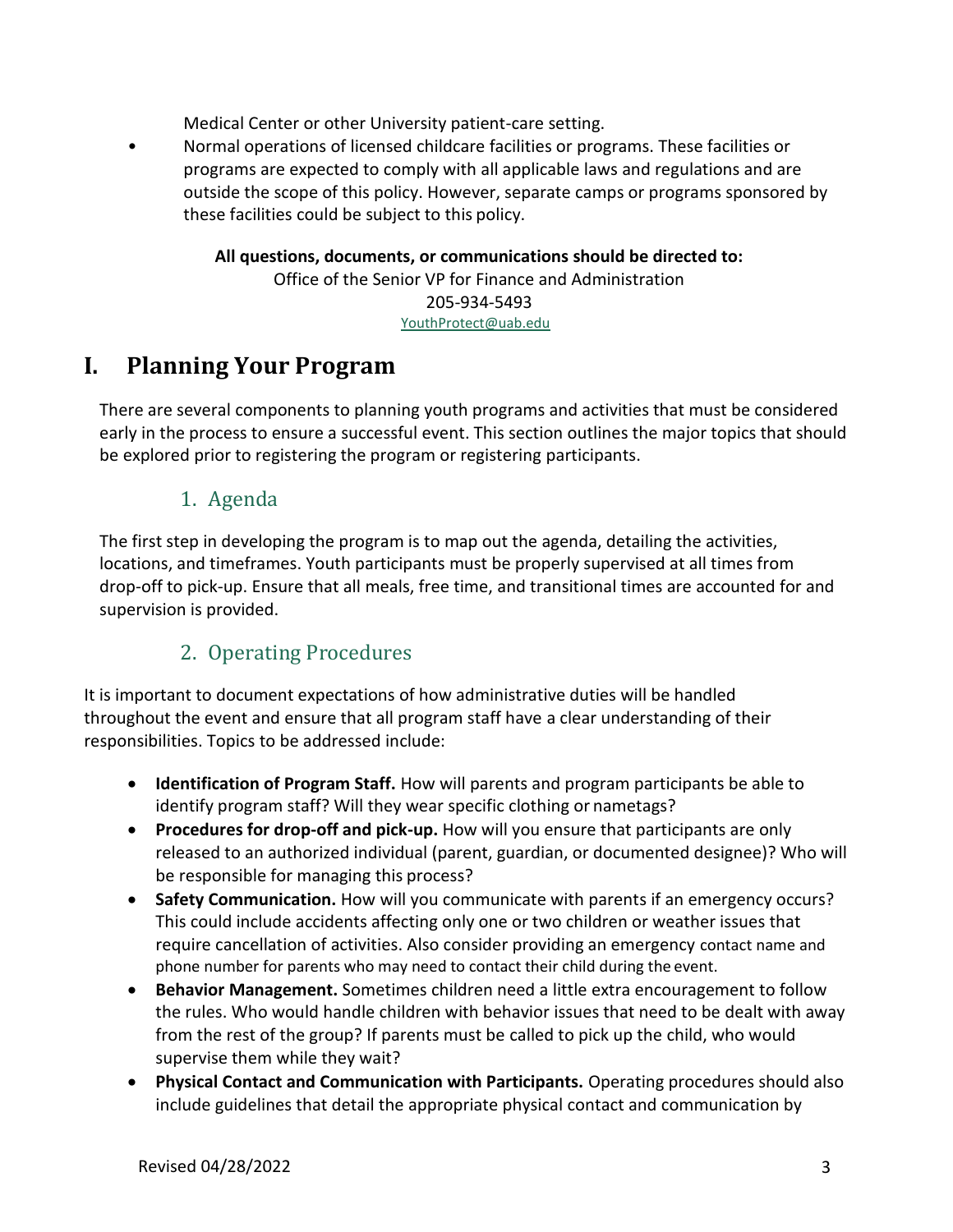Medical Center or other University patient-care setting.

• Normal operations of licensed childcare facilities or programs. These facilities or programs are expected to comply with all applicable laws and regulations and are outside the scope of this policy. However, separate camps or programs sponsored by these facilities could be subject to this policy.

> **All questions, documents, or communications should be directed to:** Office of the Senior VP for Finance and Administration 205-934-5493 [YouthProtect@uab.edu](mailto:YouthProtect@uab.edu)

## **I. Planning Your Program**

There are several components to planning youth programs and activities that must be considered early in the process to ensure a successful event. This section outlines the major topics that should be explored prior to registering the program or registering participants.

## 1. Agenda

The first step in developing the program is to map out the agenda, detailing the activities, locations, and timeframes. Youth participants must be properly supervised at all times from drop-off to pick-up. Ensure that all meals, free time, and transitional times are accounted for and supervision is provided.

## 2. Operating Procedures

It is important to document expectations of how administrative duties will be handled throughout the event and ensure that all program staff have a clear understanding of their responsibilities. Topics to be addressed include:

- **Identification of Program Staff.** How will parents and program participants be able to identify program staff? Will they wear specific clothing or nametags?
- **Procedures for drop-off and pick-up.** How will you ensure that participants are only released to an authorized individual (parent, guardian, or documented designee)? Who will be responsible for managing this process?
- **Safety Communication.** How will you communicate with parents if an emergency occurs? This could include accidents affecting only one or two children or weather issues that require cancellation of activities. Also consider providing an emergency contact name and phone number for parents who may need to contact their child during the event.
- **Behavior Management.** Sometimes children need a little extra encouragement to follow the rules. Who would handle children with behavior issues that need to be dealt with away from the rest of the group? If parents must be called to pick up the child, who would supervise them while they wait?
- **Physical Contact and Communication with Participants.** Operating procedures should also include guidelines that detail the appropriate physical contact and communication by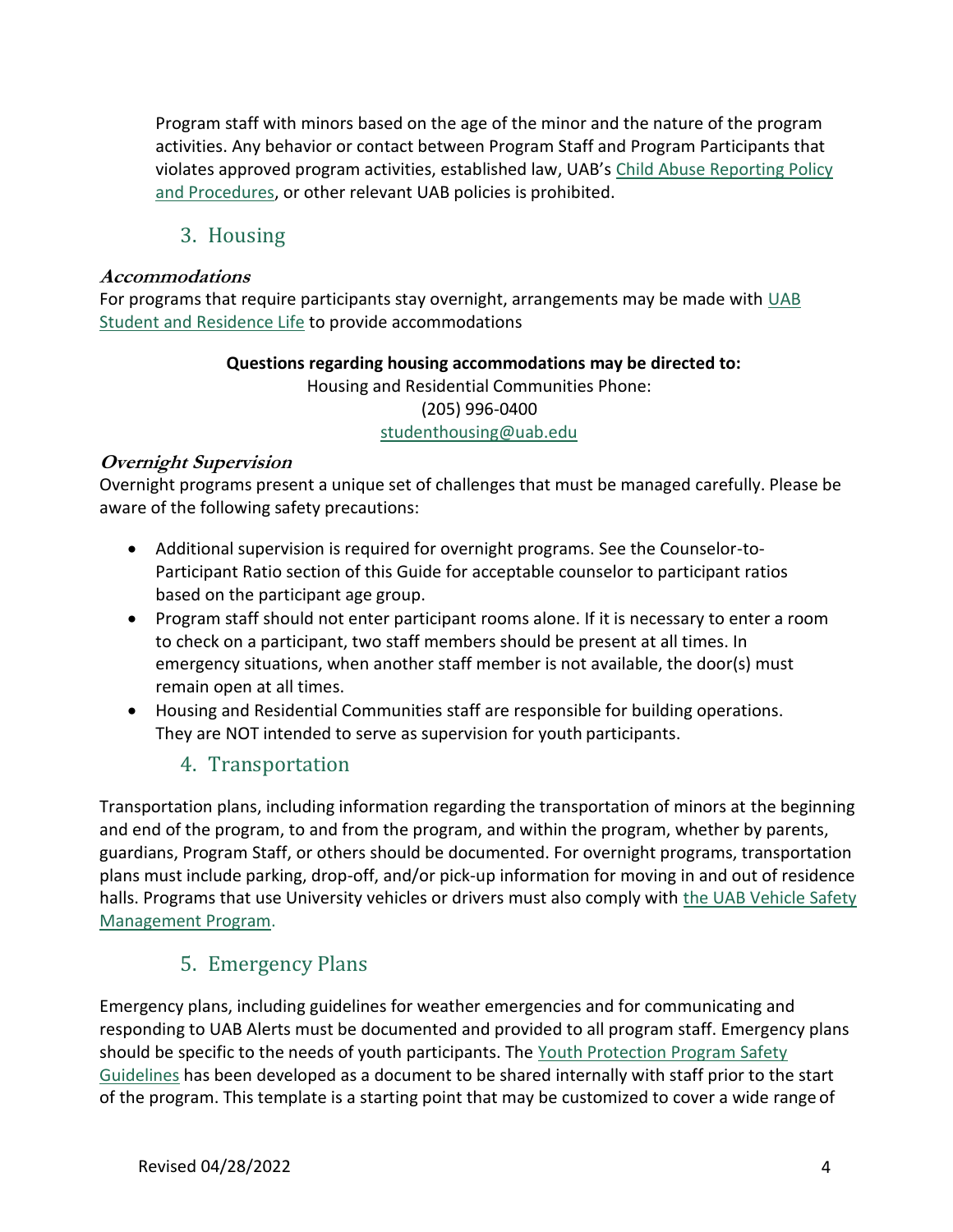Program staff with minors based on the age of the minor and the nature of the program activities. Any behavior or contact between Program Staff and Program Participants that violates approved program activities, established law, UAB's [Child Abuse Reporting Policy](https://www.uab.edu/policies/content/Pages/UAB-AD-POL-0000706.aspx) [and Procedures,](https://dev.uab.edu/childprotection/our-policy) or other relevant UAB policies is prohibited.

### 3. Housing

#### **Accommodations**

For programs that require participants stay overnight, arrangements may be made with [UAB](https://www.uab.edu/students/housing/contact) [Student and Residence Life](https://www.uab.edu/students/housing/contact) to provide accommodations

#### **Questions regarding housing accommodations may be directed to:** Housing and Residential Communities Phone: (205) 996-0400 [studenthousing@uab.edu](mailto:studenthousing@uab.edu)

#### **Overnight Supervision**

Overnight programs present a unique set of challenges that must be managed carefully. Please be aware of the following safety precautions:

- Additional supervision is required for overnight programs. See the Counselor-to-Participant Ratio section of this Guide for acceptable counselor to participant ratios based on the participant age group.
- Program staff should not enter participant rooms alone. If it is necessary to enter a room to check on a participant, two staff members should be present at all times. In emergency situations, when another staff member is not available, the door(s) must remain open at all times.
- Housing and Residential Communities staff are responsible for building operations. They are NOT intended to serve as supervision for youth participants.

### 4. Transportation

Transportation plans, including information regarding the transportation of minors at the beginning and end of the program, to and from the program, and within the program, whether by parents, guardians, Program Staff, or others should be documented. For overnight programs, transportation plans must include parking, drop-off, and/or pick-up information for moving in and out of residence halls. Programs that use University vehicles or drivers must also comply with [the UAB Vehicle Safety](https://www.uab.edu/ehs/images/docs/gen/vehicle_safety.pdf) [Management Program.](https://www.uab.edu/ehs/images/docs/gen/vehicle_safety.pdf)

## 5. Emergency Plans

Emergency plans, including guidelines for weather emergencies and for communicating and responding to UAB Alerts must be documented and provided to all program staff. Emergency plans should be specific to the needs of youth participants. The [Youth Protection Program Safety](https://www.uab.edu/youthprotection/images/documents/pdf/UAB_YPP_Safety_Plan_Template.pdf) [Guidelines](https://www.uab.edu/youthprotection/images/documents/pdf/UAB_YPP_Safety_Plan_Template.pdf) has been developed as a document to be shared internally with staff prior to the start of the program. This template is a starting point that may be customized to cover a wide range of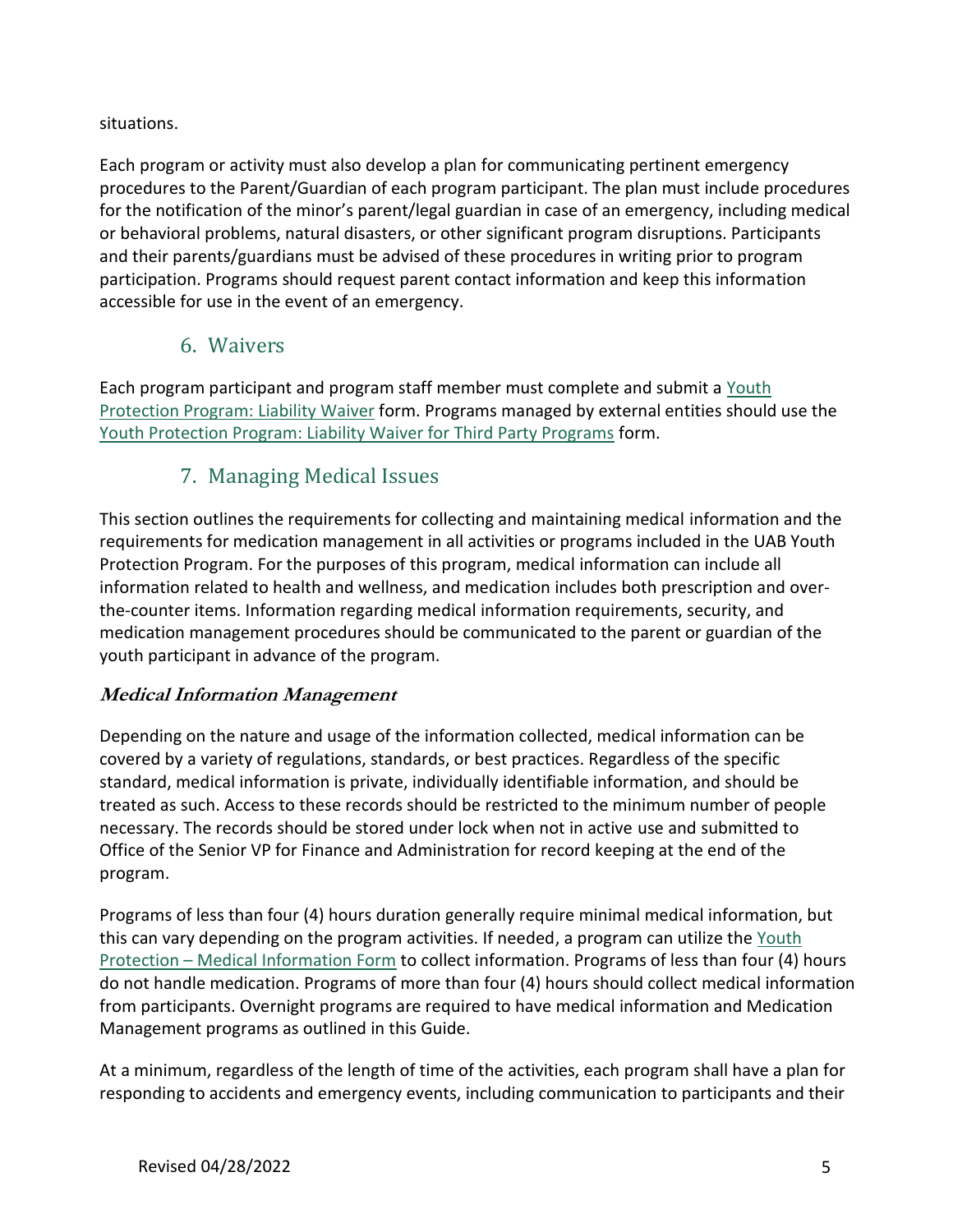#### situations.

Each program or activity must also develop a plan for communicating pertinent emergency procedures to the Parent/Guardian of each program participant. The plan must include procedures for the notification of the minor's parent/legal guardian in case of an emergency, including medical or behavioral problems, natural disasters, or other significant program disruptions. Participants and their parents/guardians must be advised of these procedures in writing prior to program participation. Programs should request parent contact information and keep this information accessible for use in the event of an emergency.

## 6. Waivers

Each program participant and program staff member must complete and submit a [Youth](http://compliance.ua.edu/wp-content/uploads/2017/11/Liability-Release.pdf) Protection Program: Liability Waiver form. Programs managed by external entities should use the Youth Protection Program: Liability Waiver for Third Party Programs form.

## 7. Managing Medical Issues

This section outlines the requirements for collecting and maintaining medical information and the requirements for medication management in all activities or programs included in the UAB Youth Protection Program. For the purposes of this program, medical information can include all information related to health and wellness, and medication includes both prescription and overthe-counter items. Information regarding medical information requirements, security, and medication management procedures should be communicated to the parent or guardian of the youth participant in advance of the program.

#### **Medical Information Management**

Depending on the nature and usage of the information collected, medical information can be covered by a variety of regulations, standards, or best practices. Regardless of the specific standard, medical information is private, individually identifiable information, and should be treated as such. Access to these records should be restricted to the minimum number of people necessary. The records should be stored under lock when not in active use and submitted to Office of the Senior VP for Finance and Administration for record keeping at the end of the program.

Programs of less than four (4) hours duration generally require minimal medical information, but this can vary depending on the program activities. If needed, a program can utilize the Youth Protection – Medical Information Form to collect information. Programs of less than four (4) hours do not handle medication. Programs of more than four (4) hours should collect medical information from participants. Overnight programs are required to have medical information and Medication Management programs as outlined in this Guide.

At a minimum, regardless of the length of time of the activities, each program shall have a plan for responding to accidents and emergency events, including communication to participants and their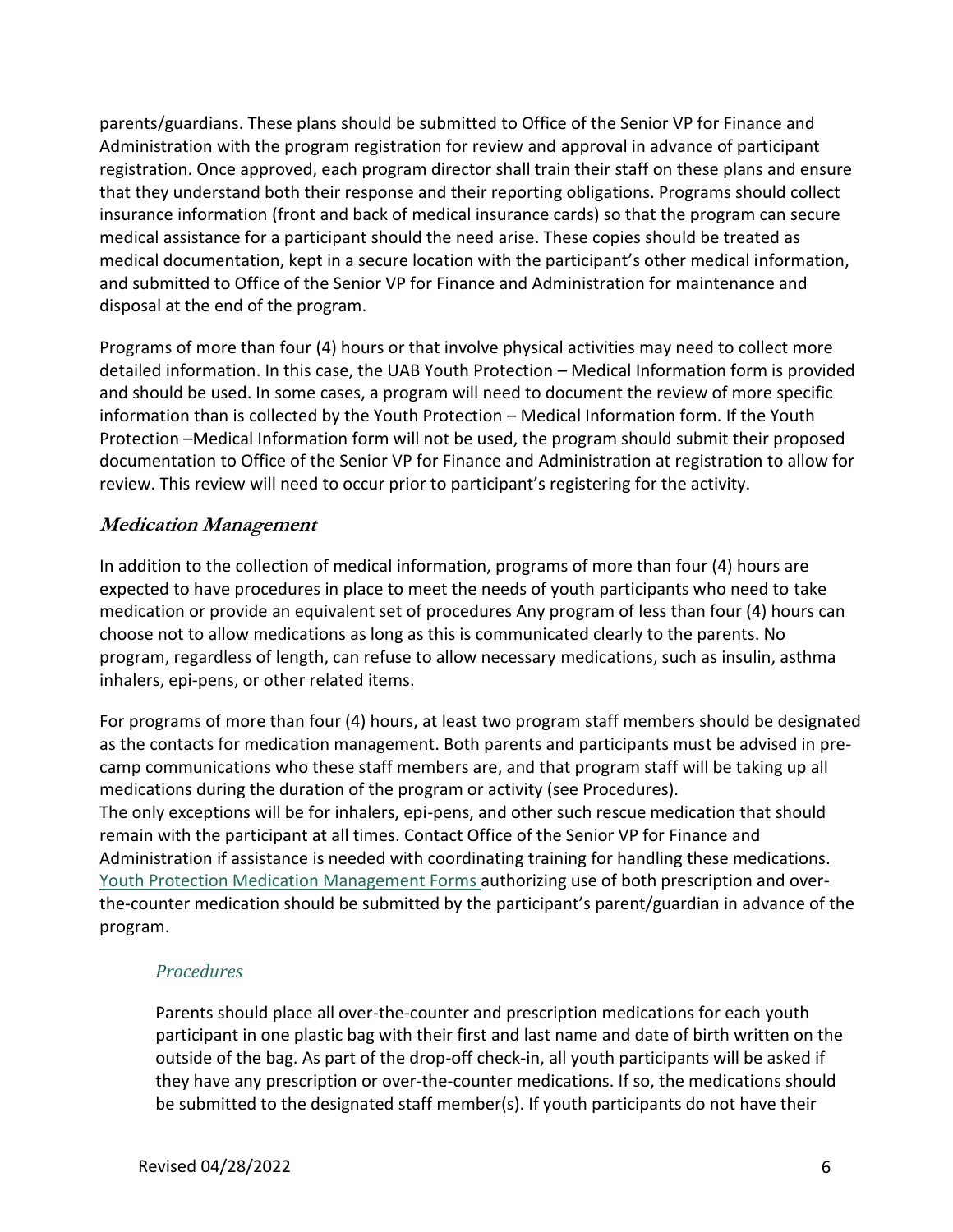parents/guardians. These plans should be submitted to Office of the Senior VP for Finance and Administration with the program registration for review and approval in advance of participant registration. Once approved, each program director shall train their staff on these plans and ensure that they understand both their response and their reporting obligations. Programs should collect insurance information (front and back of medical insurance cards) so that the program can secure medical assistance for a participant should the need arise. These copies should be treated as medical documentation, kept in a secure location with the participant's other medical information, and submitted to Office of the Senior VP for Finance and Administration for maintenance and disposal at the end of the program.

Programs of more than four (4) hours or that involve physical activities may need to collect more detailed information. In this case, the UAB Youth Protection – Medical Information form is provided and should be used. In some cases, a program will need to document the review of more specific information than is collected by the Youth Protection – Medical Information form. If the Youth Protection –Medical Information form will not be used, the program should submit their proposed documentation to Office of the Senior VP for Finance and Administration at registration to allow for review. This review will need to occur prior to participant's registering for the activity.

#### **Medication Management**

In addition to the collection of medical information, programs of more than four (4) hours are expected to have procedures in place to meet the needs of youth participants who need to take medication or provide an equivalent set of procedures Any program of less than four (4) hours can choose not to allow medications as long as this is communicated clearly to the parents. No program, regardless of length, can refuse to allow necessary medications, such as insulin, asthma inhalers, epi-pens, or other related items.

For programs of more than four (4) hours, at least two program staff members should be designated as the contacts for medication management. Both parents and participants must be advised in precamp communications who these staff members are, and that program staff will be taking up all medications during the duration of the program or activity (see Procedures). The only exceptions will be for inhalers, epi-pens, and other such rescue medication that should remain with the participant at all times. Contact Office of the Senior VP for Finance and Administration if assistance is needed with coordinating training for handling these medications. Youth Protection Medication Management Forms authorizing use of both prescription and overthe-counter medication should be submitted by the participant's parent/guardian in advance of the program.

#### *Procedures*

Parents should place all over-the-counter and prescription medications for each youth participant in one plastic bag with their first and last name and date of birth written on the outside of the bag. As part of the drop-off check-in, all youth participants will be asked if they have any prescription or over-the-counter medications. If so, the medications should be submitted to the designated staff member(s). If youth participants do not have their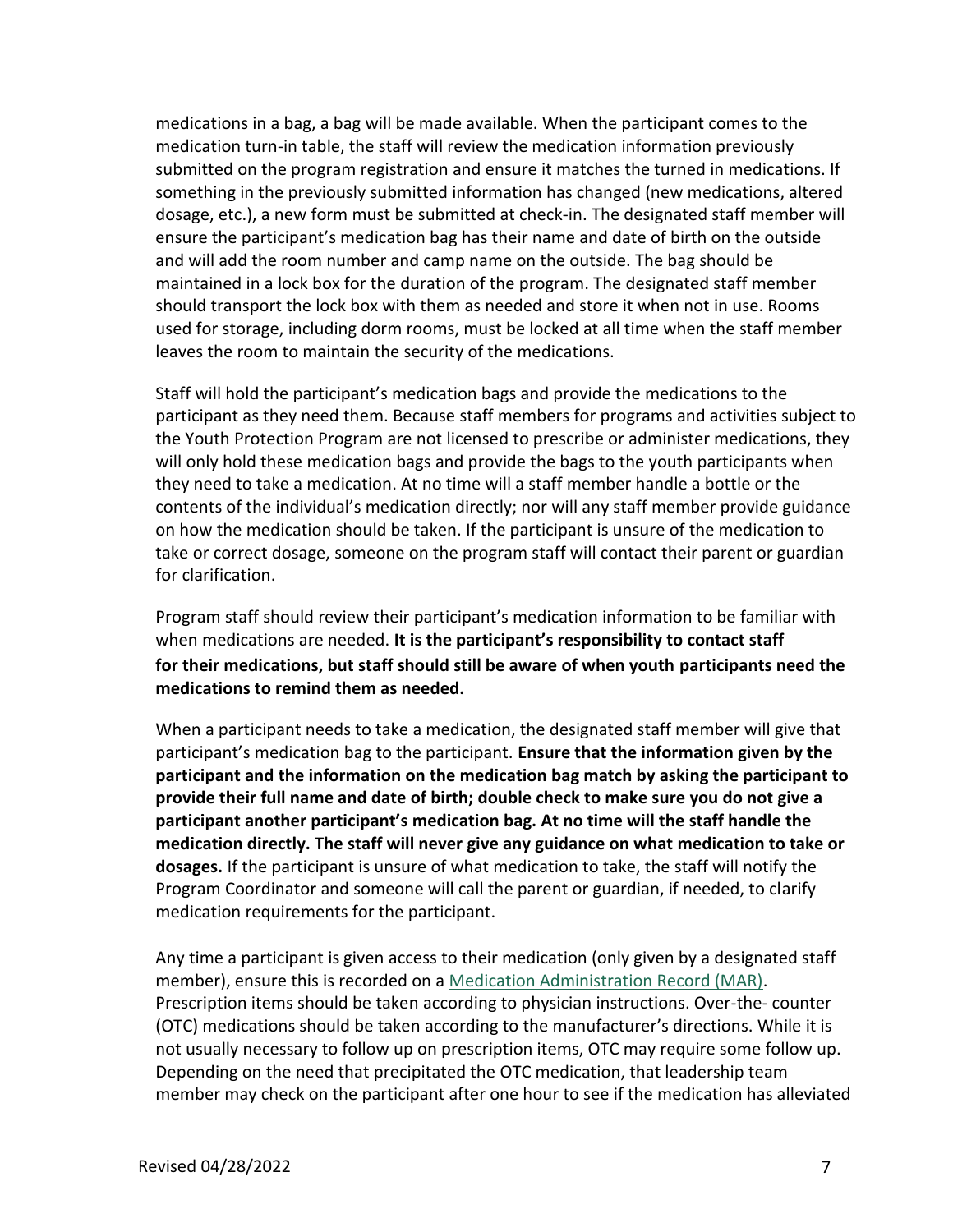medications in a bag, a bag will be made available. When the participant comes to the medication turn-in table, the staff will review the medication information previously submitted on the program registration and ensure it matches the turned in medications. If something in the previously submitted information has changed (new medications, altered dosage, etc.), a new form must be submitted at check-in. The designated staff member will ensure the participant's medication bag has their name and date of birth on the outside and will add the room number and camp name on the outside. The bag should be maintained in a lock box for the duration of the program. The designated staff member should transport the lock box with them as needed and store it when not in use. Rooms used for storage, including dorm rooms, must be locked at all time when the staff member leaves the room to maintain the security of the medications.

Staff will hold the participant's medication bags and provide the medications to the participant as they need them. Because staff members for programs and activities subject to the Youth Protection Program are not licensed to prescribe or administer medications, they will only hold these medication bags and provide the bags to the youth participants when they need to take a medication. At no time will a staff member handle a bottle or the contents of the individual's medication directly; nor will any staff member provide guidance on how the medication should be taken. If the participant is unsure of the medication to take or correct dosage, someone on the program staff will contact their parent or guardian for clarification.

Program staff should review their participant's medication information to be familiar with when medications are needed. **It is the participant's responsibility to contact staff for their medications, but staff should still be aware of when youth participants need the medications to remind them as needed.**

When a participant needs to take a medication, the designated staff member will give that participant's medication bag to the participant. **Ensure that the information given by the participant and the information on the medication bag match by asking the participant to provide their full name and date of birth; double check to make sure you do not give a participant another participant's medication bag. At no time will the staff handle the medication directly. The staff will never give any guidance on what medication to take or dosages.** If the participant is unsure of what medication to take, the staff will notify the Program Coordinator and someone will call the parent or guardian, if needed, to clarify medication requirements for the participant.

Any time a participant is given access to their medication (only given by a designated staff member), ensure this is recorded on a Medication Administration Record (MAR). Prescription items should be taken according to physician instructions. Over-the- counter (OTC) medications should be taken according to the manufacturer's directions. While it is not usually necessary to follow up on prescription items, OTC may require some follow up. Depending on the need that precipitated the OTC medication, that leadership team member may check on the participant after one hour to see if the medication has alleviated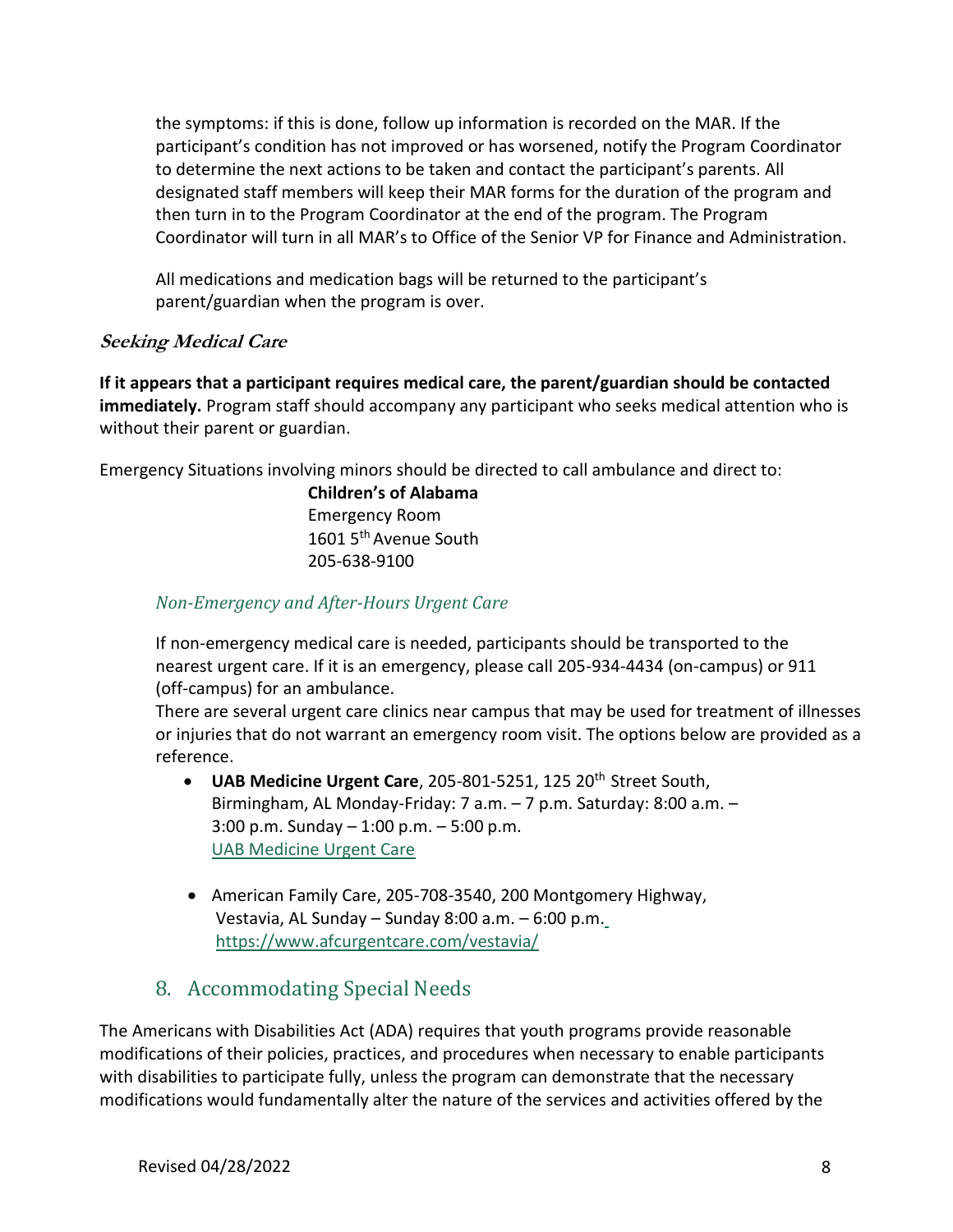the symptoms: if this is done, follow up information is recorded on the MAR. If the participant's condition has not improved or has worsened, notify the Program Coordinator to determine the next actions to be taken and contact the participant's parents. All designated staff members will keep their MAR forms for the duration of the program and then turn in to the Program Coordinator at the end of the program. The Program Coordinator will turn in all MAR's to Office of the Senior VP for Finance and Administration.

All medications and medication bags will be returned to the participant's parent/guardian when the program is over.

#### **Seeking Medical Care**

**If it appears that a participant requires medical care, the parent/guardian should be contacted immediately.** Program staff should accompany any participant who seeks medical attention who is without their parent or guardian.

Emergency Situations involving minors should be directed to call ambulance and direct to:

**Children's of Alabama**  Emergency Room 1601 5<sup>th</sup> Avenue South 205-638-9100

#### *Non-Emergency and After-Hours Urgent Care*

If non-emergency medical care is needed, participants should be transported to the nearest urgent care. If it is an emergency, please call 205-934-4434 (on-campus) or 911 (off-campus) for an ambulance.

There are several urgent care clinics near campus that may be used for treatment of illnesses or injuries that do not warrant an emergency room visit. The options below are provided as a reference.

- UAB Medicine Urgent Care, 205-801-5251, 125 20<sup>th</sup> Street South, Birmingham, AL Monday-Friday: 7 a.m. – 7 p.m. Saturday: 8:00 a.m. – 3:00 p.m. Sunday – 1:00 p.m. – 5:00 p.m. [UAB Medicine Urgent Care](https://uabmedicine.org/locations/uab-medicine-urgent-care)
- American Family Care, 205-708-3540, 200 Montgomery Highway, Vestavia, AL Sunday – Sunday 8:00 a.m. – 6:00 p.m. <https://www.afcurgentcare.com/vestavia/>

## 8. Accommodating Special Needs

The Americans with Disabilities Act (ADA) requires that youth programs provide reasonable modifications of their policies, practices, and procedures when necessary to enable participants with disabilities to participate fully, unless the program can demonstrate that the necessary modifications would fundamentally alter the nature of the services and activities offered by the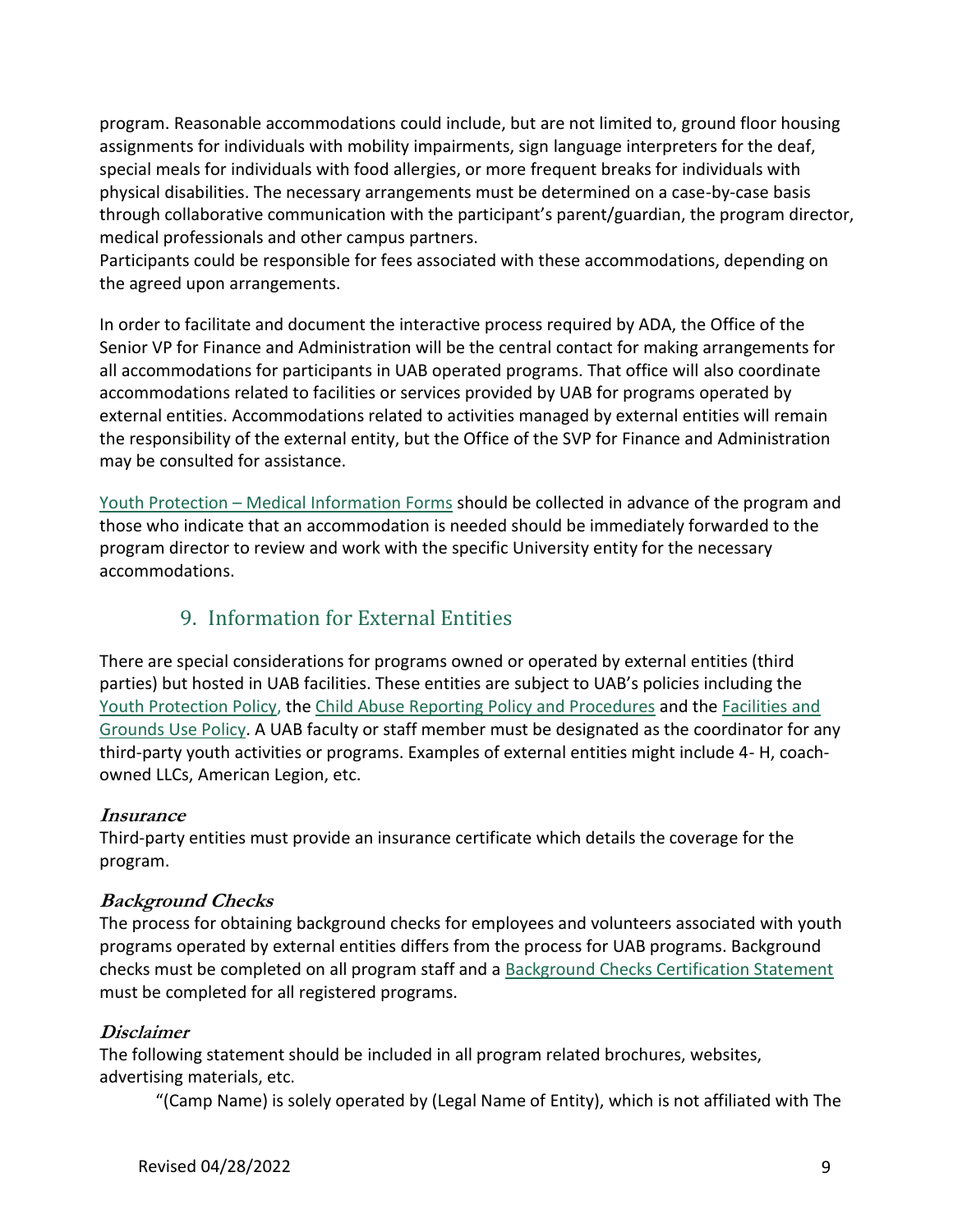program. Reasonable accommodations could include, but are not limited to, ground floor housing assignments for individuals with mobility impairments, sign language interpreters for the deaf, special meals for individuals with food allergies, or more frequent breaks for individuals with physical disabilities. The necessary arrangements must be determined on a case-by-case basis through collaborative communication with the participant's parent/guardian, the program director, medical professionals and other campus partners.

Participants could be responsible for fees associated with these accommodations, depending on the agreed upon arrangements.

In order to facilitate and document the interactive process required by ADA, the Office of the Senior VP for Finance and Administration will be the central contact for making arrangements for all accommodations for participants in UAB operated programs. That office will also coordinate accommodations related to facilities or services provided by UAB for programs operated by external entities. Accommodations related to activities managed by external entities will remain the responsibility of the external entity, but the Office of the SVP for Finance and Administration may be consulted for assistance.

Youth Protection – Medical Information Forms should be collected in advance of the program and those who indicate that an accommodation is needed should be immediately forwarded to the program director to review and work with the specific University entity for the necessary accommodations.

### 9. Information for External Entities

There are special considerations for programs owned or operated by external entities (third parties) but hosted in UAB facilities. These entities are subject to UAB's policies including the [Youth Protection Policy, t](https://www.uab.edu/childprotection/)h[e Child Abuse Reporting Policy and Procedures](https://www.uab.edu/policies/content/Pages/UAB-AD-POL-0000706.aspx) and the [Facilities](https://www.uab.edu/ovpfinad/student-sponsored-event) [and](https://uafacilities.ua.edu/grounds-use-permit/) [Grounds Use Policy.](https://uafacilities.ua.edu/grounds-use-permit/) A UAB faculty or staff member must be designated as the coordinator for any third-party youth activities or programs. Examples of external entities might include 4- H, coachowned LLCs, American Legion, etc.

#### **Insurance**

Third-party entities must provide an insurance certificate which details the coverage for the program.

#### **Background Checks**

The process for obtaining background checks for employees and volunteers associated with youth programs operated by external entities differs from the process for UAB programs. Background checks must be completed on all program staff and a Background Checks Certification Statement must be completed for all registered programs.

#### **Disclaimer**

The following statement should be included in all program related brochures, websites, advertising materials, etc.

"(Camp Name) is solely operated by (Legal Name of Entity), which is not affiliated with The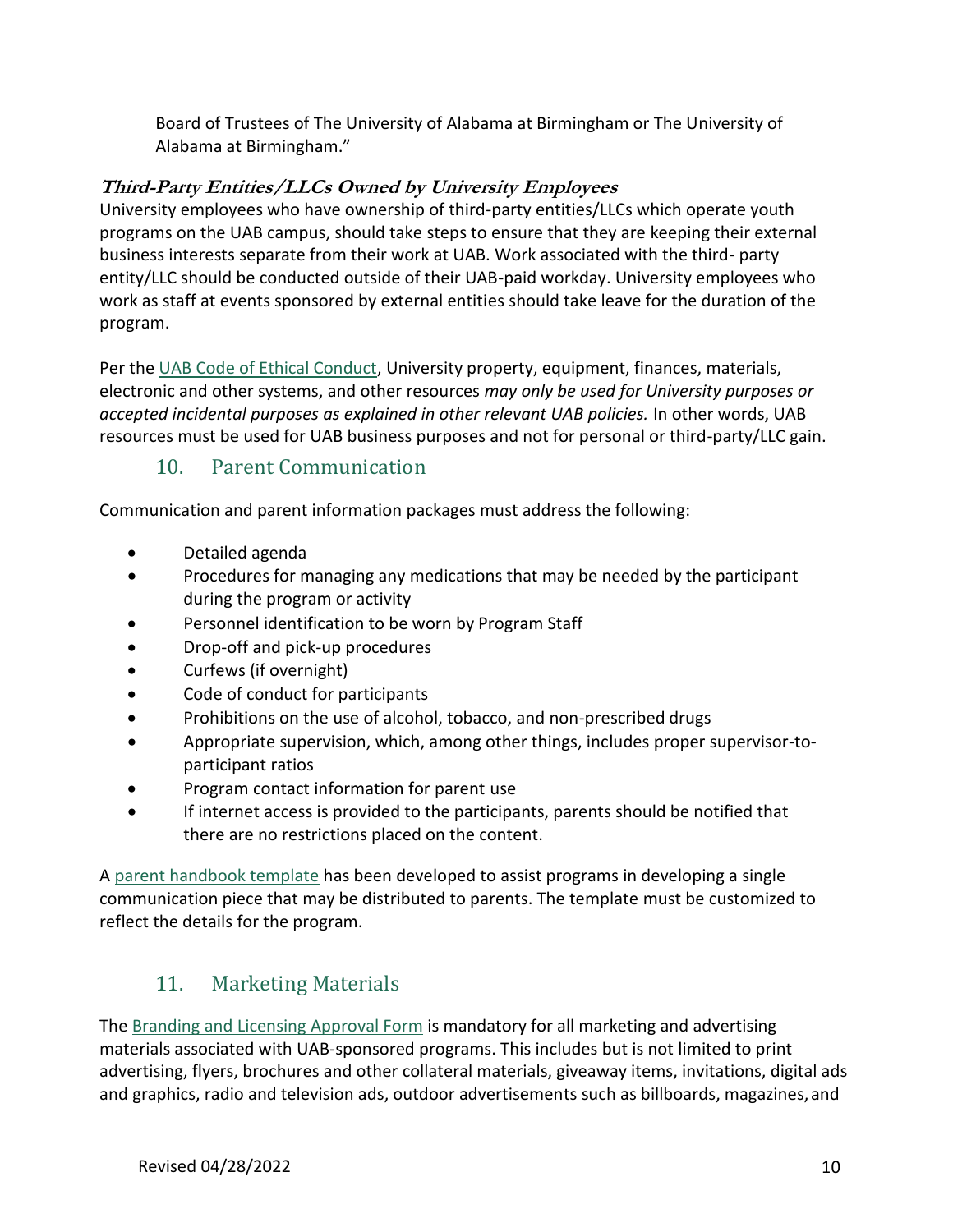Board of Trustees of The University of Alabama at Birmingham or The University of Alabama at Birmingham."

#### **Third-Party Entities/LLCs Owned by University Employees**

University employees who have ownership of third-party entities/LLCs which operate youth programs on the UAB campus, should take steps to ensure that they are keeping their external business interests separate from their work at UAB. Work associated with the third- party entity/LLC should be conducted outside of their UAB-paid workday. University employees who work as staff at events sponsored by external entities should take leave for the duration of the program.

Per the [UAB Code of Ethical Conduct,](https://www.uab.edu/compliance/images/Code_of_Conduct_Effective_2011-Oct-1.pdf) University property, equipment, finances, materials, electronic and other systems, and other resources *may only be used for University purposes or accepted incidental purposes as explained in other relevant UAB policies.* In other words, UAB resources must be used for UAB business purposes and not for personal or third-party/LLC gain.

### 10. Parent Communication

Communication and parent information packages must address the following:

- Detailed agenda
- Procedures for managing any medications that may be needed by the participant during the program or activity
- Personnel identification to be worn by Program Staff
- Drop-off and pick-up procedures
- Curfews (if overnight)
- Code of conduct for participants
- Prohibitions on the use of alcohol, tobacco, and non-prescribed drugs
- Appropriate supervision, which, among other things, includes proper supervisor-toparticipant ratios
- Program contact information for parent use
- If internet access is provided to the participants, parents should be notified that there are no restrictions placed on the content.

A [parent handbook template](https://www.uab.edu/youthprotection/images/documents/pdf/UAB_YPP_Parent-Handbook.pdf) has been developed to assist programs in developing a single communication piece that may be distributed to parents. The template must be customized to reflect the details for the program.

## 11. Marketing Materials

The [Branding and Licensing Approval Form](https://uab.co1.qualtrics.com/jfe/form/SV_9BmBHxKFz6l0r1b?Q_JFE=qdg) is mandatory for all marketing and advertising materials associated with UAB-sponsored programs. This includes but is not limited to print advertising, flyers, brochures and other collateral materials, giveaway items, invitations, digital ads and graphics, radio and television ads, outdoor advertisements such as billboards, magazines, and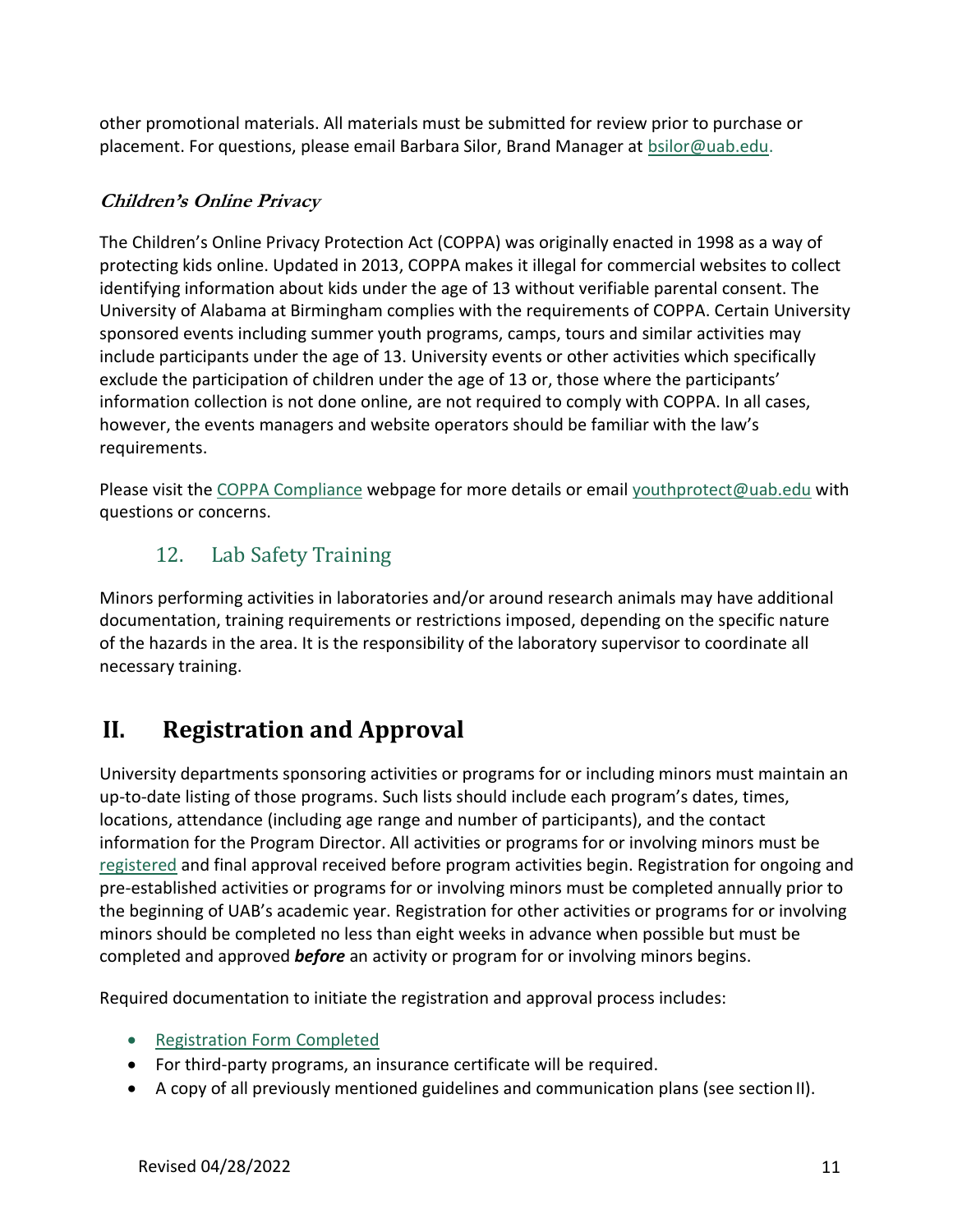other promotional materials. All materials must be submitted for review prior to purchase or placement. For questions, please email Barbara Silor, Brand Manager at [bsilor@uab.edu.](mailto:bsilor@uab.edu)

#### **Children's Online Privacy**

The Children's Online Privacy Protection Act (COPPA) was originally enacted in 1998 as a way of protecting kids online. Updated in 2013, COPPA makes it illegal for commercial websites to collect identifying information about kids under the age of 13 without verifiable parental consent. The University of Alabama at Birmingham complies with the requirements of COPPA. Certain University sponsored events including summer youth programs, camps, tours and similar activities may include participants under the age of 13. University events or other activities which specifically exclude the participation of children under the age of 13 or, those where the participants' information collection is not done online, are not required to comply with COPPA. In all cases, however, the events managers and website operators should be familiar with the law's requirements.

Please visit the [COPPA Compliance](http://coppa.org/) webpage for more details or email [youthprotect@uab.edu](mailto:youthprotect@uab.edu) with questions or concerns.

## 12. Lab Safety Training

Minors performing activities in laboratories and/or around research animals may have additional documentation, training requirements or restrictions imposed, depending on the specific nature of the hazards in the area. It is the responsibility of the laboratory supervisor to coordinate all necessary training.

## **II. Registration and Approval**

University departments sponsoring activities or programs for or including minors must maintain an up-to-date listing of those programs. Such lists should include each program's dates, times, locations, attendance (including age range and number of participants), and the contact information for the Program Director. All activities or programs for or involving minors must be [registered](https://apps.ideal-logic.com/uabyouth) and final approval received before program activities begin. Registration for ongoing and pre-established activities or programs for or involving minors must be completed annually prior to the beginning of UAB's academic year. Registration for other activities or programs for or involving minors should be completed no less than eight weeks in advance when possible but must be completed and approved *before* an activity or program for or involving minors begins.

Required documentation to initiate the registration and approval process includes:

- [Registration Form](https://apps.ideal-logic.com/uabyouth) Completed
- For third-party programs, an insurance certificate will be required.
- A copy of all previously mentioned guidelines and communication plans (see sectionII).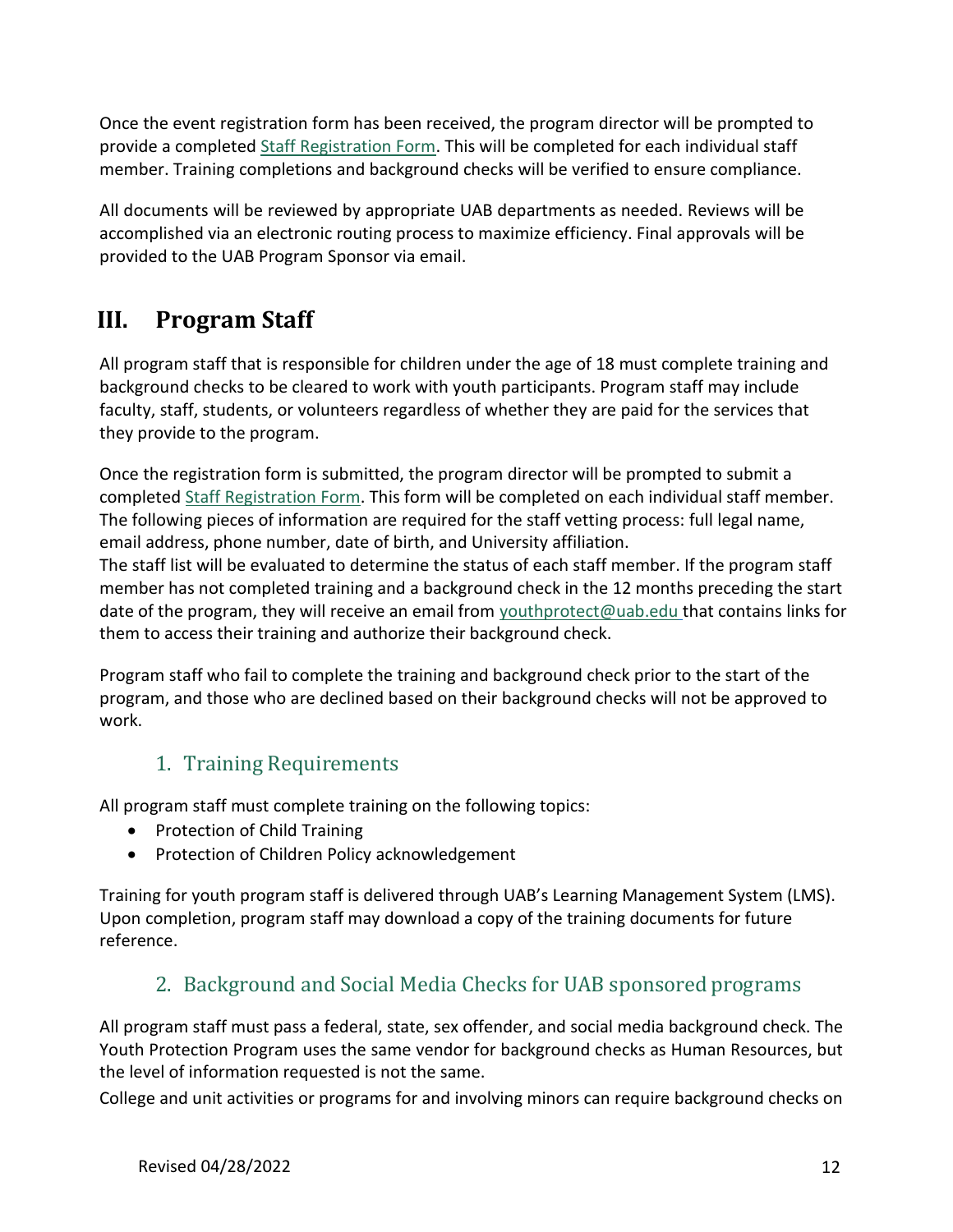Once the event registration form has been received, the program director will be prompted to provide a completed [Staff Registration Form.](https://www.uab.edu/youthprotection/staff-registration-form) This will be completed for each individual staff member. Training completions and background checks will be verified to ensure compliance.

All documents will be reviewed by appropriate UAB departments as needed. Reviews will be accomplished via an electronic routing process to maximize efficiency. Final approvals will be provided to the UAB Program Sponsor via email.

## **III. Program Staff**

All program staff that is responsible for children under the age of 18 must complete training and background checks to be cleared to work with youth participants. Program staff may include faculty, staff, students, or volunteers regardless of whether they are paid for the services that they provide to the program.

Once the registration form is submitted, the program director will be prompted to submit a completed [Staff Registration Form.](https://www.uab.edu/youthprotection/staff-registration-form) This form will be completed on each individual staff member. The following pieces of information are required for the staff vetting process: full legal name, email address, phone number, date of birth, and University affiliation.

The staff list will be evaluated to determine the status of each staff member. If the program staff member has not completed training and a background check in the 12 months preceding the start date of the program, they will receive an email from [youthprotect@uab.edu](mailto:youthprotect@uab.edu) that contains links for them to access their training and authorize their background check.

Program staff who fail to complete the training and background check prior to the start of the program, and those who are declined based on their background checks will not be approved to work.

## 1. Training Requirements

All program staff must complete training on the following topics:

- Protection of Child Training
- Protection of Children Policy acknowledgement

Training for youth program staff is delivered through UAB's Learning Management System (LMS). Upon completion, program staff may download a copy of the training documents for future reference.

## 2. Background and Social Media Checks for UAB sponsored programs

All program staff must pass a federal, state, sex offender, and social media background check. The Youth Protection Program uses the same vendor for background checks as Human Resources, but the level of information requested is not the same.

College and unit activities or programs for and involving minors can require background checks on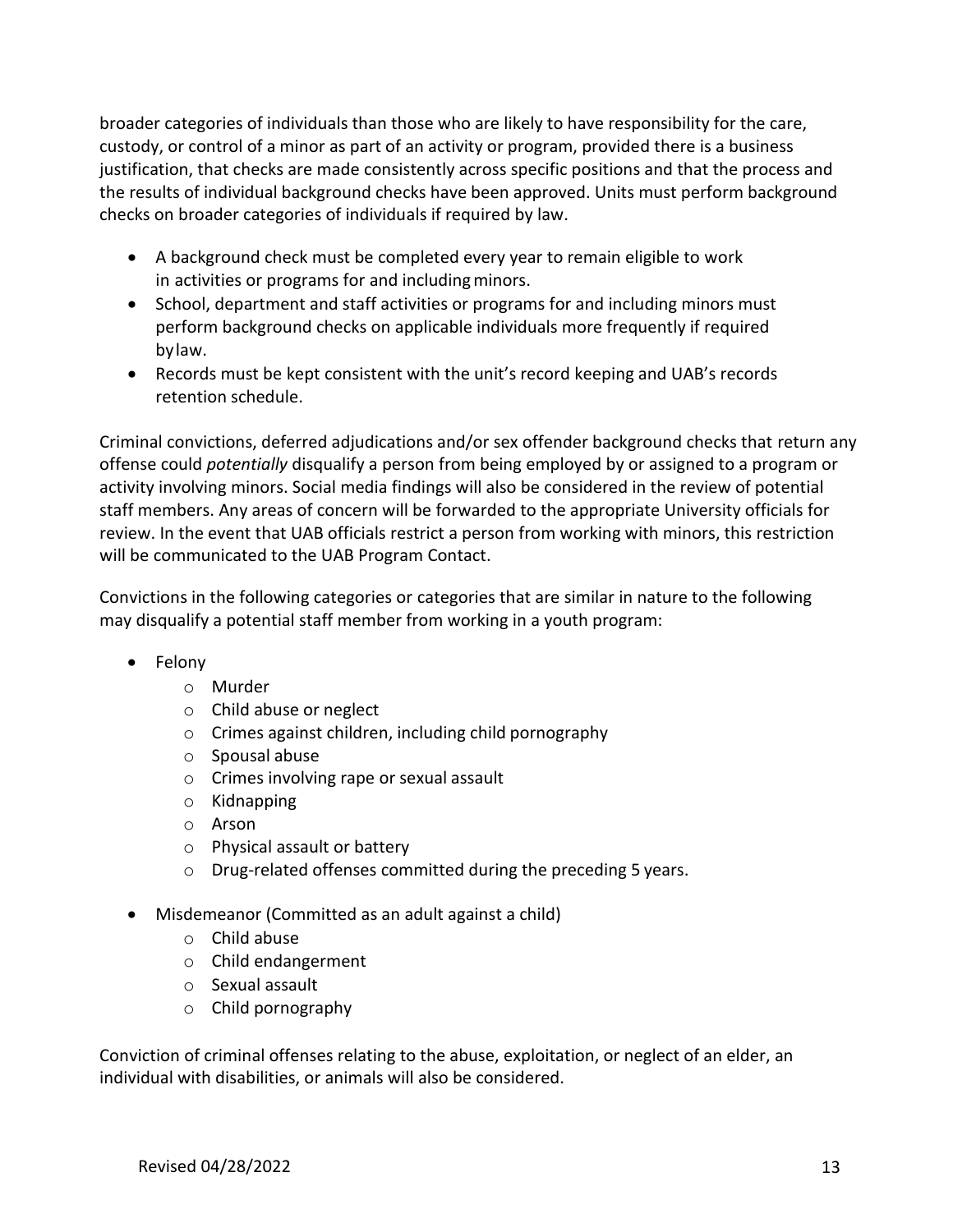broader categories of individuals than those who are likely to have responsibility for the care, custody, or control of a minor as part of an activity or program, provided there is a business justification, that checks are made consistently across specific positions and that the process and the results of individual background checks have been approved. Units must perform background checks on broader categories of individuals if required by law.

- A background check must be completed every year to remain eligible to work in activities or programs for and including minors.
- School, department and staff activities or programs for and including minors must perform background checks on applicable individuals more frequently if required bylaw.
- Records must be kept consistent with the unit's record keeping and UAB's records retention schedule.

Criminal convictions, deferred adjudications and/or sex offender background checks that return any offense could *potentially* disqualify a person from being employed by or assigned to a program or activity involving minors. Social media findings will also be considered in the review of potential staff members. Any areas of concern will be forwarded to the appropriate University officials for review. In the event that UAB officials restrict a person from working with minors, this restriction will be communicated to the UAB Program Contact.

Convictions in the following categories or categories that are similar in nature to the following may disqualify a potential staff member from working in a youth program:

- Felony
	- o Murder
	- o Child abuse or neglect
	- o Crimes against children, including child pornography
	- o Spousal abuse
	- o Crimes involving rape or sexual assault
	- o Kidnapping
	- o Arson
	- o Physical assault or battery
	- o Drug-related offenses committed during the preceding 5 years.
- Misdemeanor (Committed as an adult against a child)
	- o Child abuse
	- o Child endangerment
	- o Sexual assault
	- o Child pornography

Conviction of criminal offenses relating to the abuse, exploitation, or neglect of an elder, an individual with disabilities, or animals will also be considered.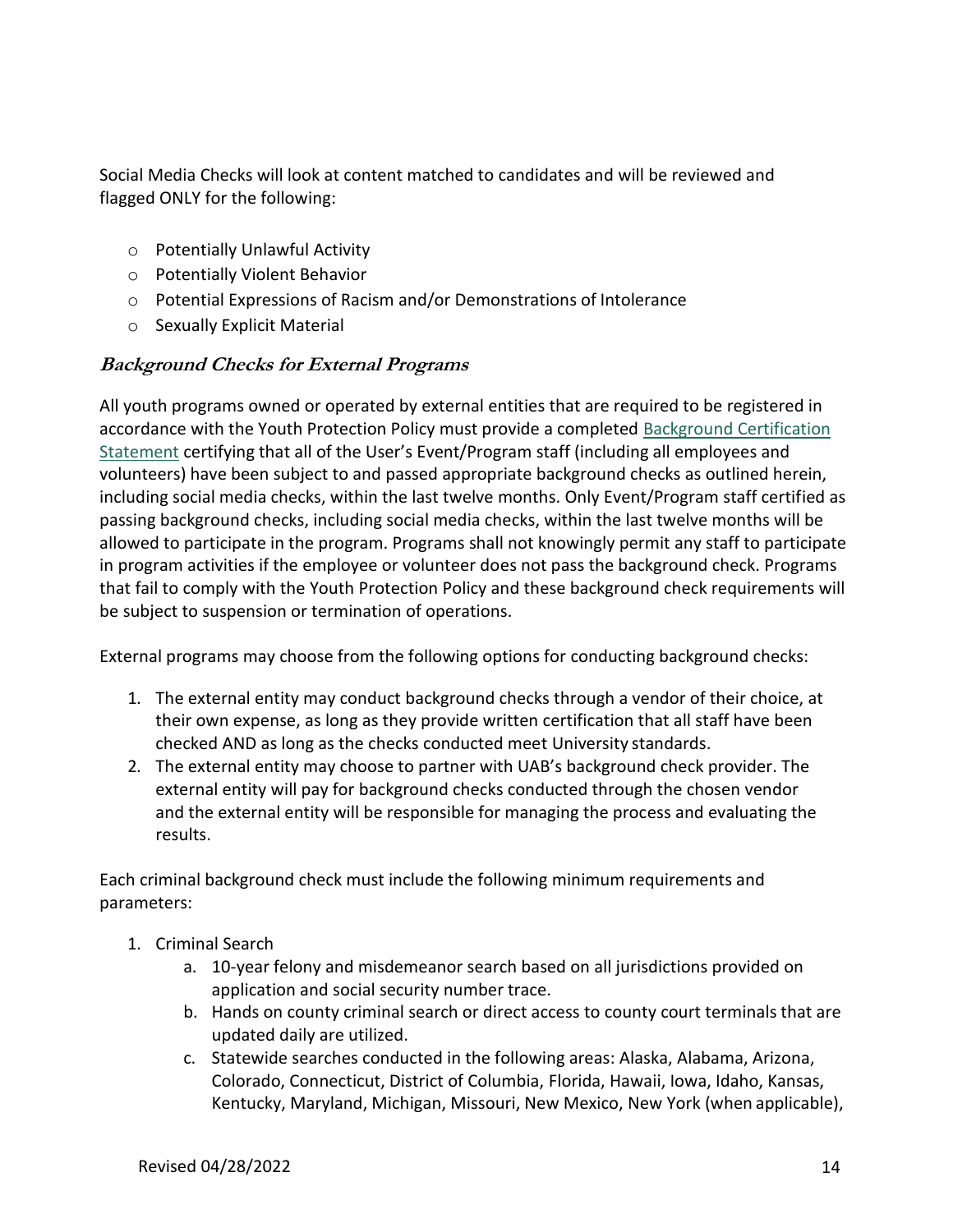Social Media Checks will look at content matched to candidates and will be reviewed and flagged ONLY for the following:

- o Potentially Unlawful Activity
- o Potentially Violent Behavior
- o Potential Expressions of Racism and/or Demonstrations of Intolerance
- o Sexually Explicit Material

#### **Background Checks for External Programs**

All youth programs owned or operated by external entities that are required to be registered in accordance with the Youth Protection Policy must provide a completed Background [Certification](http://compliance.ua.edu/wp-content/uploads/2018/12/Background-Certification-Statement.pdf) [Statement](http://compliance.ua.edu/wp-content/uploads/2018/12/Background-Certification-Statement.pdf) certifying that all of the User's Event/Program staff (including all employees and volunteers) have been subject to and passed appropriate background checks as outlined herein, including social media checks, within the last twelve months. Only Event/Program staff certified as passing background checks, including social media checks, within the last twelve months will be allowed to participate in the program. Programs shall not knowingly permit any staff to participate in program activities if the employee or volunteer does not pass the background check. Programs that fail to comply with the Youth Protection Policy and these background check requirements will be subject to suspension or termination of operations.

External programs may choose from the following options for conducting background checks:

- 1. The external entity may conduct background checks through a vendor of their choice, at their own expense, as long as they provide written certification that all staff have been checked AND as long as the checks conducted meet University standards.
- 2. The external entity may choose to partner with UAB's background check provider. The external entity will pay for background checks conducted through the chosen vendor and the external entity will be responsible for managing the process and evaluating the results.

Each criminal background check must include the following minimum requirements and parameters:

- 1. Criminal Search
	- a. 10-year felony and misdemeanor search based on all jurisdictions provided on application and social security number trace.
	- b. Hands on county criminal search or direct access to county court terminals that are updated daily are utilized.
	- c. Statewide searches conducted in the following areas: Alaska, Alabama, Arizona, Colorado, Connecticut, District of Columbia, Florida, Hawaii, Iowa, Idaho, Kansas, Kentucky, Maryland, Michigan, Missouri, New Mexico, New York (when applicable),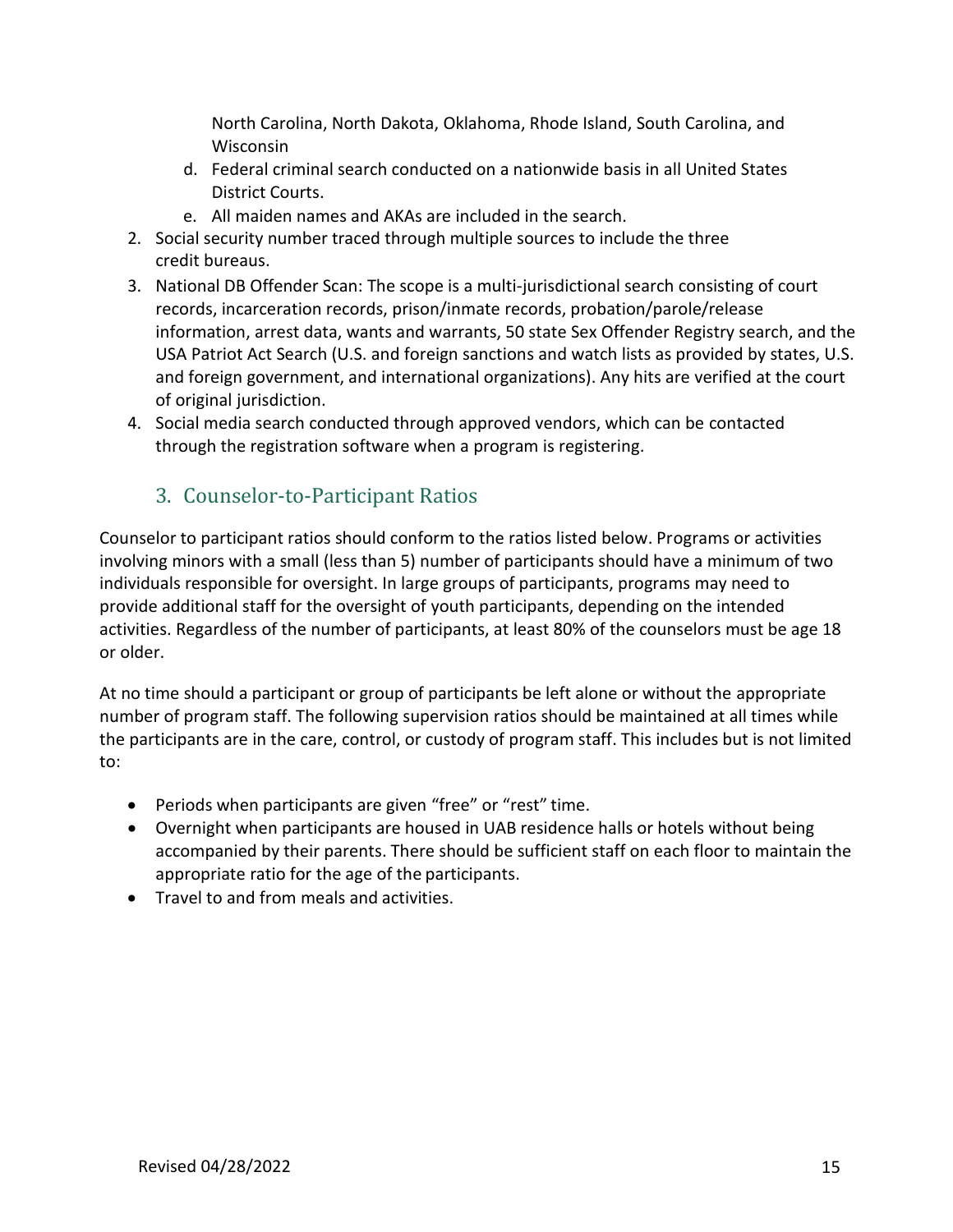North Carolina, North Dakota, Oklahoma, Rhode Island, South Carolina, and Wisconsin

- d. Federal criminal search conducted on a nationwide basis in all United States District Courts.
- e. All maiden names and AKAs are included in the search.
- 2. Social security number traced through multiple sources to include the three credit bureaus.
- 3. National DB Offender Scan: The scope is a multi-jurisdictional search consisting of court records, incarceration records, prison/inmate records, probation/parole/release information, arrest data, wants and warrants, 50 state Sex Offender Registry search, and the USA Patriot Act Search (U.S. and foreign sanctions and watch lists as provided by states, U.S. and foreign government, and international organizations). Any hits are verified at the court of original jurisdiction.
- 4. Social media search conducted through approved vendors, which can be contacted through the registration software when a program is registering.

### 3. Counselor-to-Participant Ratios

Counselor to participant ratios should conform to the ratios listed below. Programs or activities involving minors with a small (less than 5) number of participants should have a minimum of two individuals responsible for oversight. In large groups of participants, programs may need to provide additional staff for the oversight of youth participants, depending on the intended activities. Regardless of the number of participants, at least 80% of the counselors must be age 18 or older.

At no time should a participant or group of participants be left alone or without the appropriate number of program staff. The following supervision ratios should be maintained at all times while the participants are in the care, control, or custody of program staff. This includes but is not limited to:

- Periods when participants are given "free" or "rest" time.
- Overnight when participants are housed in UAB residence halls or hotels without being accompanied by their parents. There should be sufficient staff on each floor to maintain the appropriate ratio for the age of the participants.
- Travel to and from meals and activities.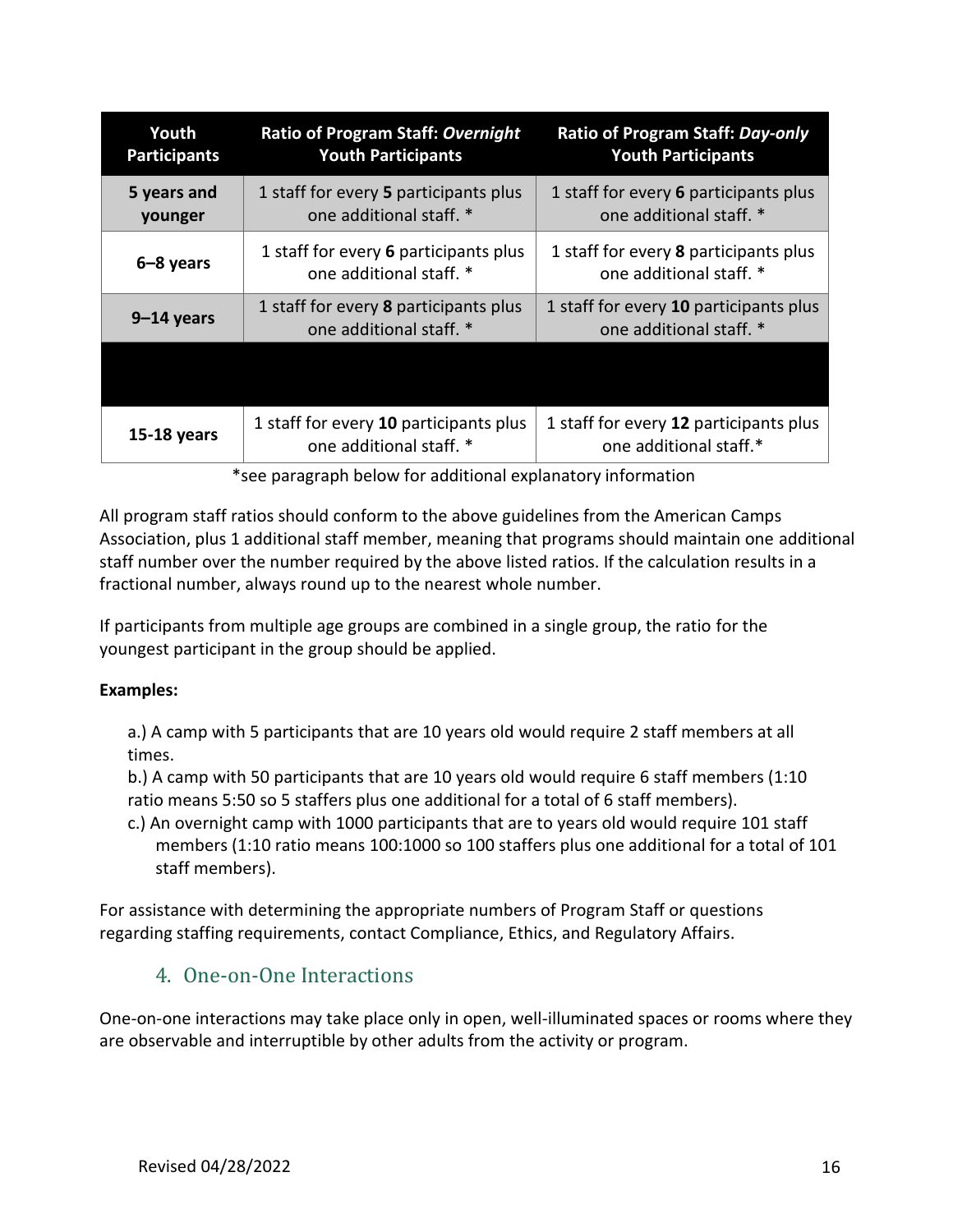| Youth<br><b>Participants</b> | <b>Ratio of Program Staff: Overnight</b><br><b>Youth Participants</b> | Ratio of Program Staff: Day-only<br><b>Youth Participants</b>     |
|------------------------------|-----------------------------------------------------------------------|-------------------------------------------------------------------|
| 5 years and<br>younger       | 1 staff for every 5 participants plus<br>one additional staff. *      | 1 staff for every 6 participants plus<br>one additional staff. *  |
| 6-8 years                    | 1 staff for every 6 participants plus<br>one additional staff. *      | 1 staff for every 8 participants plus<br>one additional staff. *  |
| $9-14$ years                 | 1 staff for every 8 participants plus<br>one additional staff. *      | 1 staff for every 10 participants plus<br>one additional staff. * |
|                              |                                                                       |                                                                   |
| 15-18 years                  | 1 staff for every 10 participants plus<br>one additional staff. *     | 1 staff for every 12 participants plus<br>one additional staff.*  |

\*see paragraph below for additional explanatory information

All program staff ratios should conform to the above guidelines from the American Camps Association, plus 1 additional staff member, meaning that programs should maintain one additional staff number over the number required by the above listed ratios. If the calculation results in a fractional number, always round up to the nearest whole number.

If participants from multiple age groups are combined in a single group, the ratio for the youngest participant in the group should be applied.

#### **Examples:**

a.) A camp with 5 participants that are 10 years old would require 2 staff members at all times.

b.) A camp with 50 participants that are 10 years old would require 6 staff members (1:10 ratio means 5:50 so 5 staffers plus one additional for a total of 6 staff members).

c.) An overnight camp with 1000 participants that are to years old would require 101 staff members (1:10 ratio means 100:1000 so 100 staffers plus one additional for a total of 101 staff members).

For assistance with determining the appropriate numbers of Program Staff or questions regarding staffing requirements, contact Compliance, Ethics, and Regulatory Affairs.

#### 4. One-on-One Interactions

One-on-one interactions may take place only in open, well-illuminated spaces or rooms where they are observable and interruptible by other adults from the activity or program.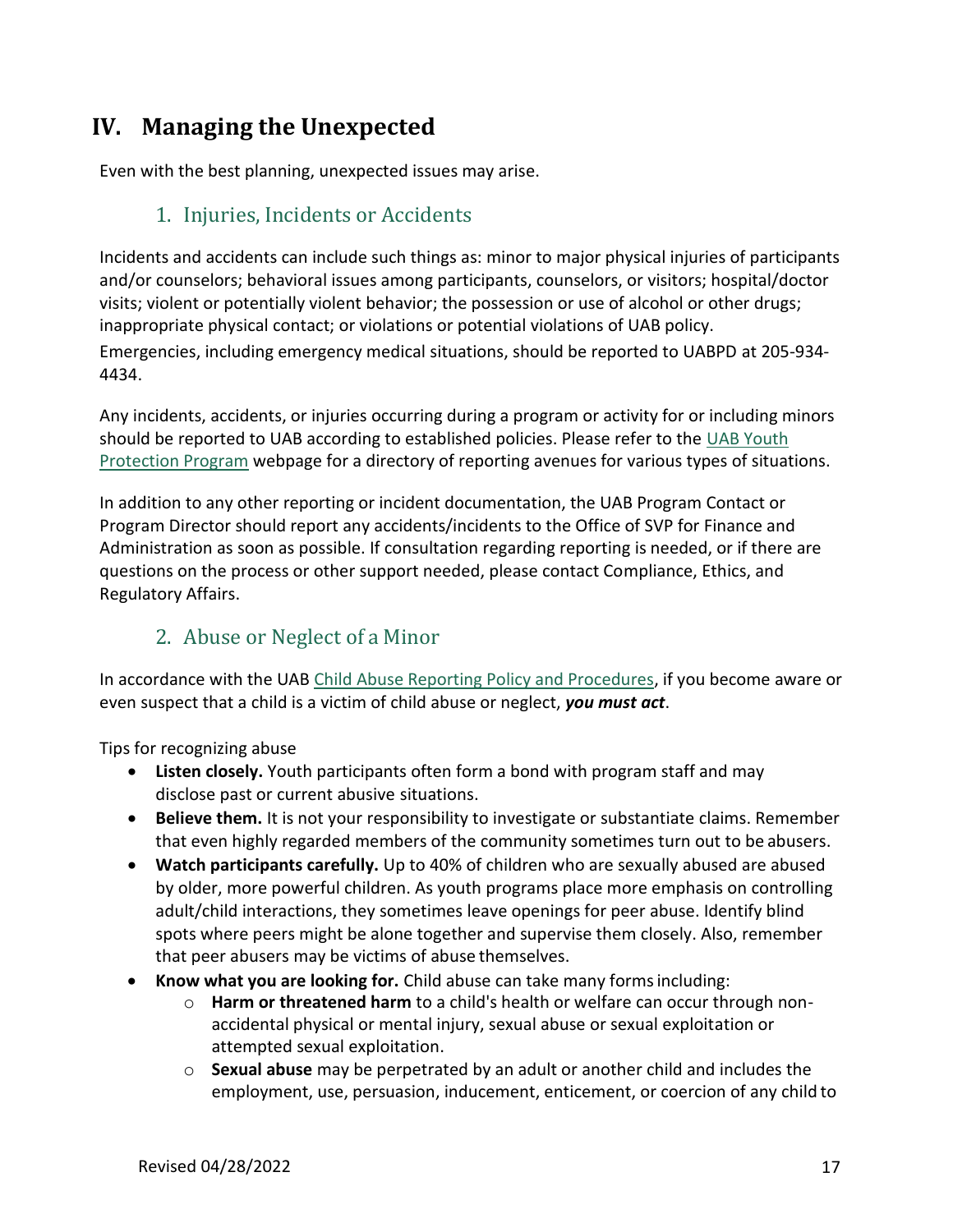## **IV. Managing the Unexpected**

Even with the best planning, unexpected issues may arise.

### 1. Injuries, Incidents or Accidents

Incidents and accidents can include such things as: minor to major physical injuries of participants and/or counselors; behavioral issues among participants, counselors, or visitors; hospital/doctor visits; violent or potentially violent behavior; the possession or use of alcohol or other drugs; inappropriate physical contact; or violations or potential violations of UAB policy. Emergencies, including emergency medical situations, should be reported to UABPD at 205-934- 4434.

Any incidents, accidents, or injuries occurring during a program or activity for or including minors should be reported to UAB according to established policies. Please refer to the [UAB Youth](https://www.uab.edu/youthprotection/) [Protection Program](https://www.uab.edu/youthprotection/) webpage for a directory of reporting avenues for various types of situations.

In addition to any other reporting or incident documentation, the UAB Program Contact or Program Director should report any accidents/incidents to the Office of SVP for Finance and Administration as soon as possible. If consultation regarding reporting is needed, or if there are questions on the process or other support needed, please contact Compliance, Ethics, and Regulatory Affairs.

### 2. Abuse or Neglect of a Minor

In accordance with the UAB [Child Abuse Reporting Policy and Procedures,](https://www.uab.edu/youthprotection/our-policy) if you become aware or even suspect that a child is a victim of child abuse or neglect, *you must act*.

Tips for recognizing abuse

- **Listen closely.** Youth participants often form a bond with program staff and may disclose past or current abusive situations.
- **Believe them.** It is not your responsibility to investigate or substantiate claims. Remember that even highly regarded members of the community sometimes turn out to be abusers.
- **Watch participants carefully.** Up to 40% of children who are sexually abused are abused by older, more powerful children. As youth programs place more emphasis on controlling adult/child interactions, they sometimes leave openings for peer abuse. Identify blind spots where peers might be alone together and supervise them closely. Also, remember that peer abusers may be victims of abuse themselves.
- **Know what you are looking for.** Child abuse can take many formsincluding:
	- o **Harm or threatened harm** to a child's health or welfare can occur through nonaccidental physical or mental injury, sexual abuse or sexual exploitation or attempted sexual exploitation.
	- o **Sexual abuse** may be perpetrated by an adult or another child and includes the employment, use, persuasion, inducement, enticement, or coercion of any child to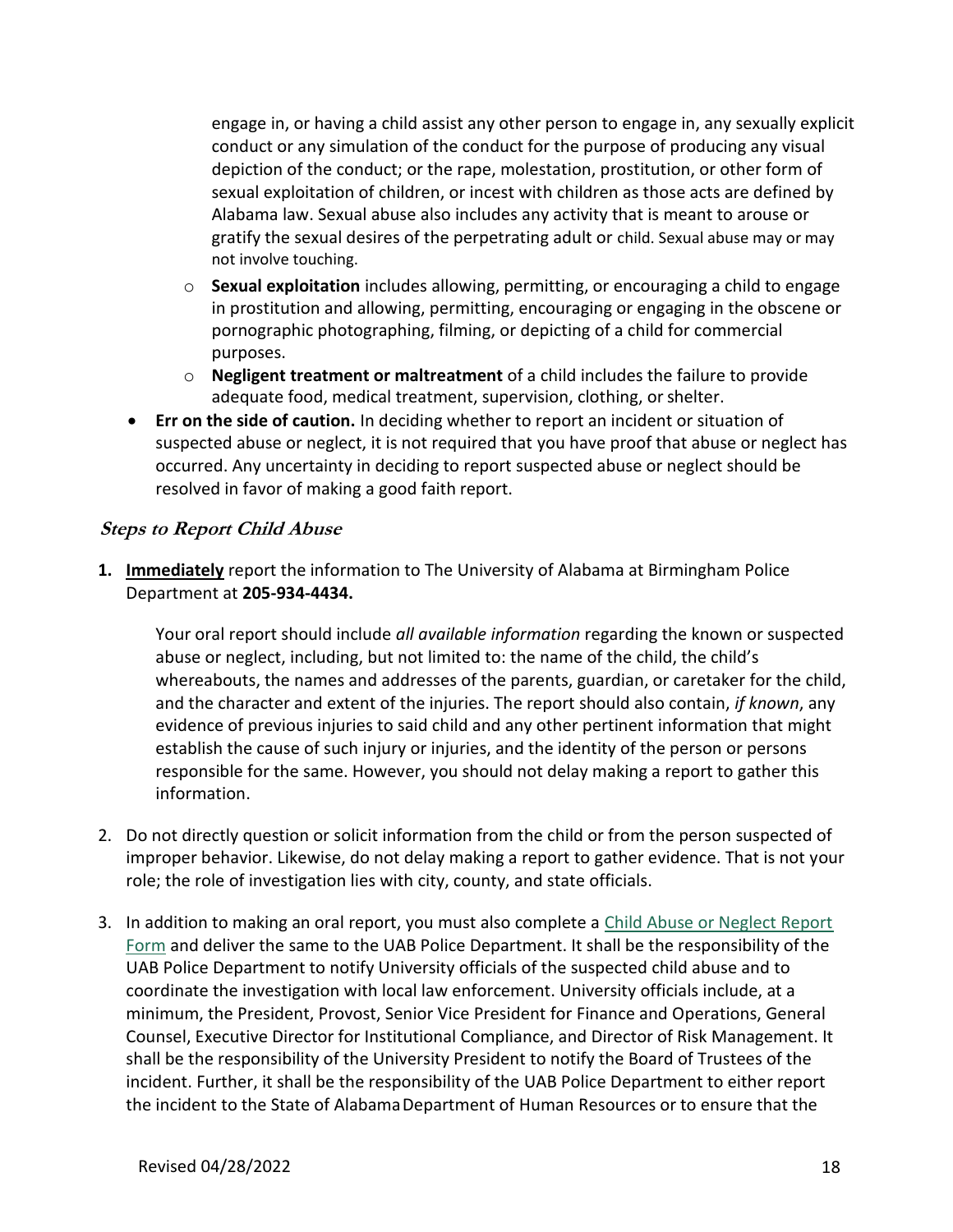engage in, or having a child assist any other person to engage in, any sexually explicit conduct or any simulation of the conduct for the purpose of producing any visual depiction of the conduct; or the rape, molestation, prostitution, or other form of sexual exploitation of children, or incest with children as those acts are defined by Alabama law. Sexual abuse also includes any activity that is meant to arouse or gratify the sexual desires of the perpetrating adult or child. Sexual abuse may or may not involve touching.

- o **Sexual exploitation** includes allowing, permitting, or encouraging a child to engage in prostitution and allowing, permitting, encouraging or engaging in the obscene or pornographic photographing, filming, or depicting of a child for commercial purposes.
- o **Negligent treatment or maltreatment** of a child includes the failure to provide adequate food, medical treatment, supervision, clothing, or shelter.
- **Err on the side of caution.** In deciding whether to report an incident or situation of suspected abuse or neglect, it is not required that you have proof that abuse or neglect has occurred. Any uncertainty in deciding to report suspected abuse or neglect should be resolved in favor of making a good faith report.

#### **Steps to Report Child Abuse**

**1. Immediately** report the information to The University of Alabama at Birmingham Police Department at **205-934-4434.**

Your oral report should include *all available information* regarding the known or suspected abuse or neglect, including, but not limited to: the name of the child, the child's whereabouts, the names and addresses of the parents, guardian, or caretaker for the child, and the character and extent of the injuries. The report should also contain, *if known*, any evidence of previous injuries to said child and any other pertinent information that might establish the cause of such injury or injuries, and the identity of the person or persons responsible for the same. However, you should not delay making a report to gather this information.

- 2. Do not directly question or solicit information from the child or from the person suspected of improper behavior. Likewise, do not delay making a report to gather evidence. That is not your role; the role of investigation lies with city, county, and state officials.
- 3. In addition to making an oral report, you must also complete a [Child Abuse or Neglect Report](https://www.uab.edu/youthprotection/images/documents/pdf/UAB_CPP_Child_Abuse_or_Neglect_Report_Form.pdf) Form and deliver the same to the UAB Police Department. It shall be the responsibility of the UAB Police Department to notify University officials of the suspected child abuse and to coordinate the investigation with local law enforcement. University officials include, at a minimum, the President, Provost, Senior Vice President for Finance and Operations, General Counsel, Executive Director for Institutional Compliance, and Director of Risk Management. It shall be the responsibility of the University President to notify the Board of Trustees of the incident. Further, it shall be the responsibility of the UAB Police Department to either report the incident to the State of Alabama Department of Human Resources or to ensure that the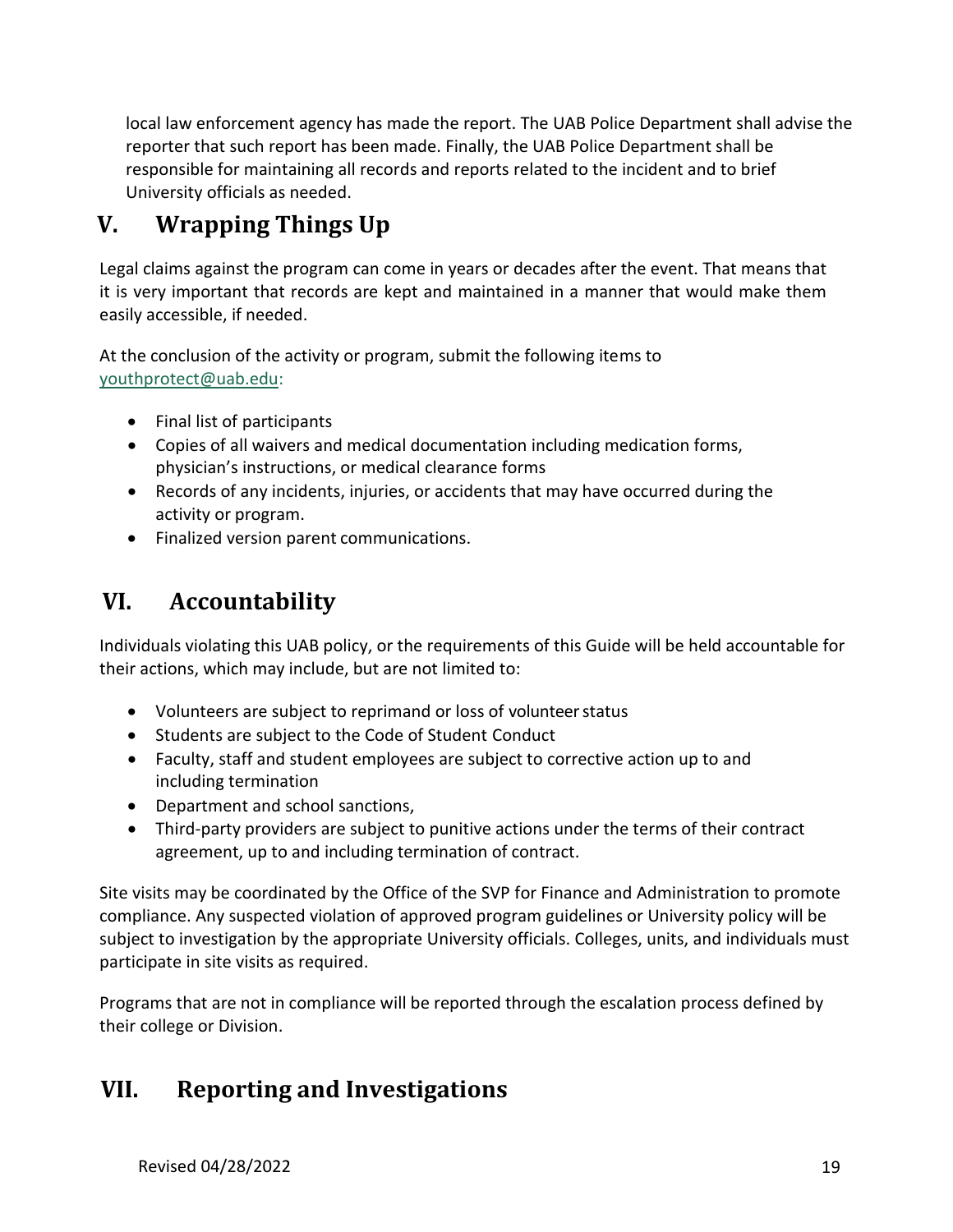local law enforcement agency has made the report. The UAB Police Department shall advise the reporter that such report has been made. Finally, the UAB Police Department shall be responsible for maintaining all records and reports related to the incident and to brief University officials as needed.

## **V. Wrapping Things Up**

Legal claims against the program can come in years or decades after the event. That means that it is very important that records are kept and maintained in a manner that would make them easily accessible, if needed.

At the conclusion of the activity or program, submit the following items to [youthprotect@uab.edu:](mailto:youthprotect@uab.edu)

- Final list of participants
- Copies of all waivers and medical documentation including medication forms, physician's instructions, or medical clearance forms
- Records of any incidents, injuries, or accidents that may have occurred during the activity or program.
- Finalized version parent communications.

## **VI. Accountability**

Individuals violating this UAB policy, or the requirements of this Guide will be held accountable for their actions, which may include, but are not limited to:

- Volunteers are subject to reprimand or loss of volunteerstatus
- Students are subject to the Code of Student Conduct
- Faculty, staff and student employees are subject to corrective action up to and including termination
- Department and school sanctions,
- Third-party providers are subject to punitive actions under the terms of their contract agreement, up to and including termination of contract.

Site visits may be coordinated by the Office of the SVP for Finance and Administration to promote compliance. Any suspected violation of approved program guidelines or University policy will be subject to investigation by the appropriate University officials. Colleges, units, and individuals must participate in site visits as required.

Programs that are not in compliance will be reported through the escalation process defined by their college or Division.

## **VII. Reporting and Investigations**